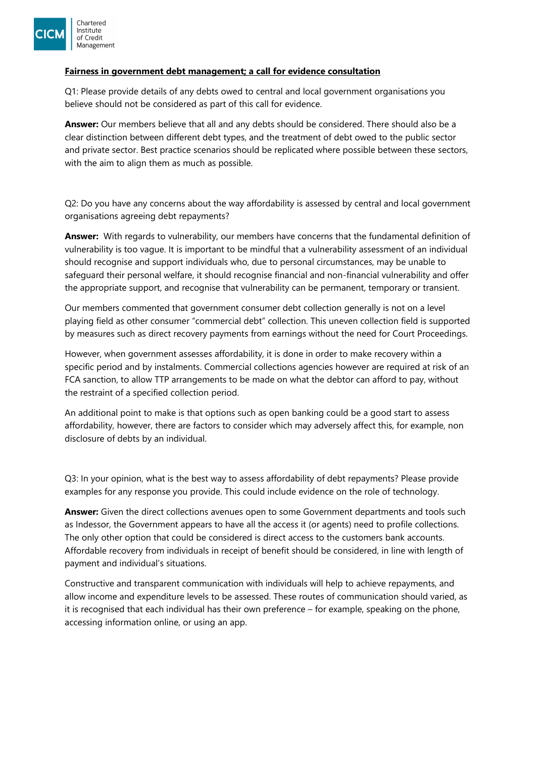

## **Fairness in government debt management; a call for evidence consultation**

Q1: Please provide details of any debts owed to central and local government organisations you believe should not be considered as part of this call for evidence.

**Answer:** Our members believe that all and any debts should be considered. There should also be a clear distinction between different debt types, and the treatment of debt owed to the public sector and private sector. Best practice scenarios should be replicated where possible between these sectors, with the aim to align them as much as possible.

Q2: Do you have any concerns about the way affordability is assessed by central and local government organisations agreeing debt repayments?

**Answer:** With regards to vulnerability, our members have concerns that the fundamental definition of vulnerability is too vague. It is important to be mindful that a vulnerability assessment of an individual should recognise and support individuals who, due to personal circumstances, may be unable to safeguard their personal welfare, it should recognise financial and non-financial vulnerability and offer the appropriate support, and recognise that vulnerability can be permanent, temporary or transient.

Our members commented that government consumer debt collection generally is not on a level playing field as other consumer "commercial debt" collection. This uneven collection field is supported by measures such as direct recovery payments from earnings without the need for Court Proceedings.

However, when government assesses affordability, it is done in order to make recovery within a specific period and by instalments. Commercial collections agencies however are required at risk of an FCA sanction, to allow TTP arrangements to be made on what the debtor can afford to pay, without the restraint of a specified collection period.

An additional point to make is that options such as open banking could be a good start to assess affordability, however, there are factors to consider which may adversely affect this, for example, non disclosure of debts by an individual.

Q3: In your opinion, what is the best way to assess affordability of debt repayments? Please provide examples for any response you provide. This could include evidence on the role of technology.

**Answer:** Given the direct collections avenues open to some Government departments and tools such as Indessor, the Government appears to have all the access it (or agents) need to profile collections. The only other option that could be considered is direct access to the customers bank accounts. Affordable recovery from individuals in receipt of benefit should be considered, in line with length of payment and individual's situations.

Constructive and transparent communication with individuals will help to achieve repayments, and allow income and expenditure levels to be assessed. These routes of communication should varied, as it is recognised that each individual has their own preference – for example, speaking on the phone, accessing information online, or using an app.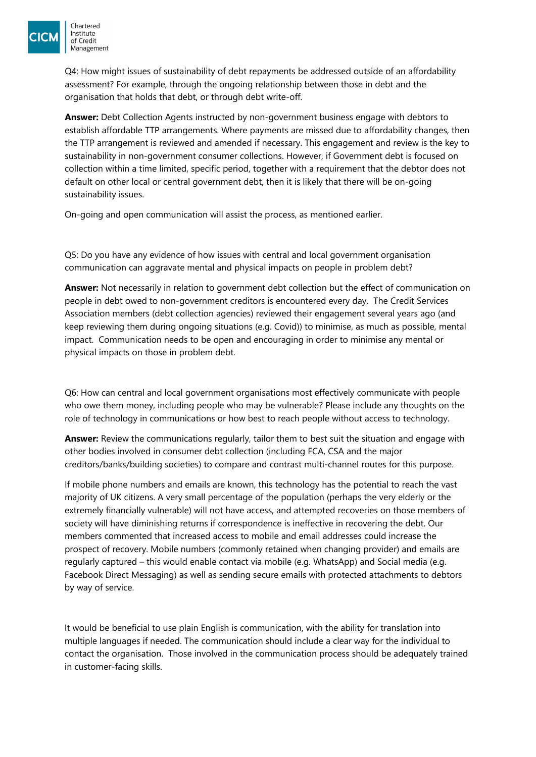

Q4: How might issues of sustainability of debt repayments be addressed outside of an affordability assessment? For example, through the ongoing relationship between those in debt and the organisation that holds that debt, or through debt write-off.

**Answer:** Debt Collection Agents instructed by non-government business engage with debtors to establish affordable TTP arrangements. Where payments are missed due to affordability changes, then the TTP arrangement is reviewed and amended if necessary. This engagement and review is the key to sustainability in non-government consumer collections. However, if Government debt is focused on collection within a time limited, specific period, together with a requirement that the debtor does not default on other local or central government debt, then it is likely that there will be on-going sustainability issues.

On-going and open communication will assist the process, as mentioned earlier.

Q5: Do you have any evidence of how issues with central and local government organisation communication can aggravate mental and physical impacts on people in problem debt?

**Answer:** Not necessarily in relation to government debt collection but the effect of communication on people in debt owed to non-government creditors is encountered every day. The Credit Services Association members (debt collection agencies) reviewed their engagement several years ago (and keep reviewing them during ongoing situations (e.g. Covid)) to minimise, as much as possible, mental impact. Communication needs to be open and encouraging in order to minimise any mental or physical impacts on those in problem debt.

Q6: How can central and local government organisations most effectively communicate with people who owe them money, including people who may be vulnerable? Please include any thoughts on the role of technology in communications or how best to reach people without access to technology.

**Answer:** Review the communications regularly, tailor them to best suit the situation and engage with other bodies involved in consumer debt collection (including FCA, CSA and the major creditors/banks/building societies) to compare and contrast multi-channel routes for this purpose.

If mobile phone numbers and emails are known, this technology has the potential to reach the vast majority of UK citizens. A very small percentage of the population (perhaps the very elderly or the extremely financially vulnerable) will not have access, and attempted recoveries on those members of society will have diminishing returns if correspondence is ineffective in recovering the debt. Our members commented that increased access to mobile and email addresses could increase the prospect of recovery. Mobile numbers (commonly retained when changing provider) and emails are regularly captured – this would enable contact via mobile (e.g. WhatsApp) and Social media (e.g. Facebook Direct Messaging) as well as sending secure emails with protected attachments to debtors by way of service.

It would be beneficial to use plain English is communication, with the ability for translation into multiple languages if needed. The communication should include a clear way for the individual to contact the organisation. Those involved in the communication process should be adequately trained in customer-facing skills.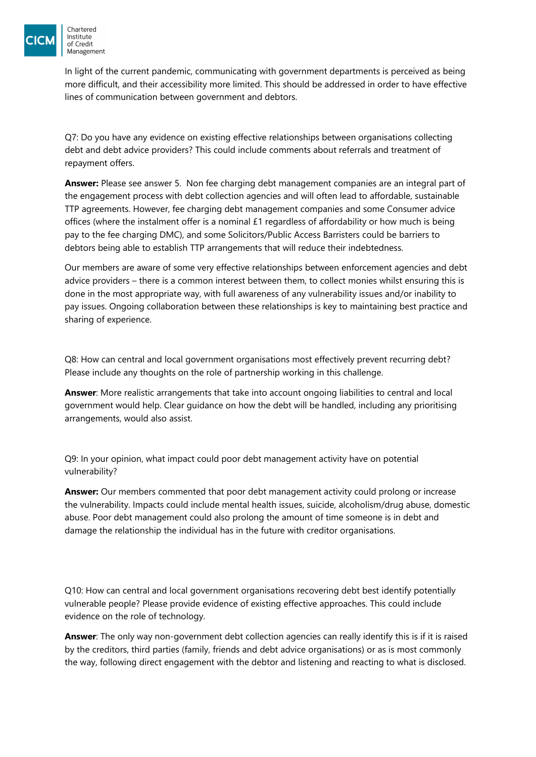

In light of the current pandemic, communicating with government departments is perceived as being more difficult, and their accessibility more limited. This should be addressed in order to have effective lines of communication between government and debtors.

Q7: Do you have any evidence on existing effective relationships between organisations collecting debt and debt advice providers? This could include comments about referrals and treatment of repayment offers.

**Answer:** Please see answer 5. Non fee charging debt management companies are an integral part of the engagement process with debt collection agencies and will often lead to affordable, sustainable TTP agreements. However, fee charging debt management companies and some Consumer advice offices (where the instalment offer is a nominal  $£1$  regardless of affordability or how much is being pay to the fee charging DMC), and some Solicitors/Public Access Barristers could be barriers to debtors being able to establish TTP arrangements that will reduce their indebtedness.

Our members are aware of some very effective relationships between enforcement agencies and debt advice providers – there is a common interest between them, to collect monies whilst ensuring this is done in the most appropriate way, with full awareness of any vulnerability issues and/or inability to pay issues. Ongoing collaboration between these relationships is key to maintaining best practice and sharing of experience.

Q8: How can central and local government organisations most effectively prevent recurring debt? Please include any thoughts on the role of partnership working in this challenge.

**Answer**: More realistic arrangements that take into account ongoing liabilities to central and local government would help. Clear guidance on how the debt will be handled, including any prioritising arrangements, would also assist.

Q9: In your opinion, what impact could poor debt management activity have on potential vulnerability?

**Answer:** Our members commented that poor debt management activity could prolong or increase the vulnerability. Impacts could include mental health issues, suicide, alcoholism/drug abuse, domestic abuse. Poor debt management could also prolong the amount of time someone is in debt and damage the relationship the individual has in the future with creditor organisations.

Q10: How can central and local government organisations recovering debt best identify potentially vulnerable people? Please provide evidence of existing effective approaches. This could include evidence on the role of technology.

**Answer**: The only way non-government debt collection agencies can really identify this is if it is raised by the creditors, third parties (family, friends and debt advice organisations) or as is most commonly the way, following direct engagement with the debtor and listening and reacting to what is disclosed.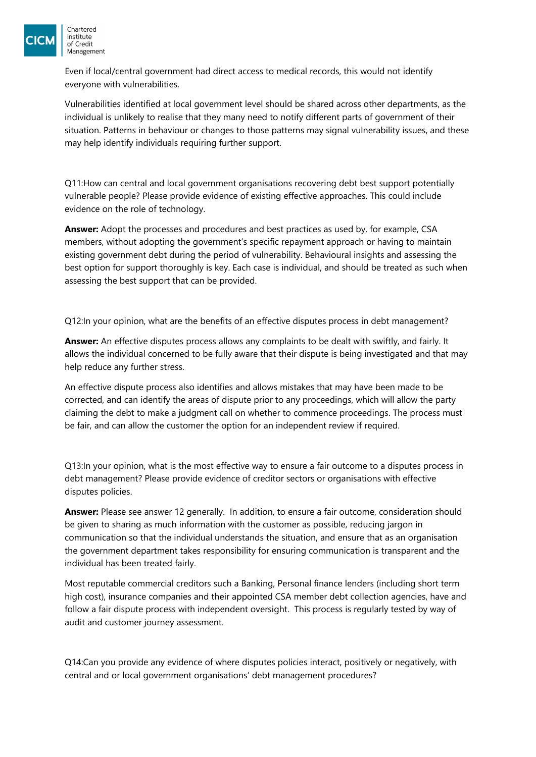

Even if local/central government had direct access to medical records, this would not identify everyone with vulnerabilities.

Vulnerabilities identified at local government level should be shared across other departments, as the individual is unlikely to realise that they many need to notify different parts of government of their situation. Patterns in behaviour or changes to those patterns may signal vulnerability issues, and these may help identify individuals requiring further support.

Q11:How can central and local government organisations recovering debt best support potentially vulnerable people? Please provide evidence of existing effective approaches. This could include evidence on the role of technology.

**Answer:** Adopt the processes and procedures and best practices as used by, for example, CSA members, without adopting the government's specific repayment approach or having to maintain existing government debt during the period of vulnerability. Behavioural insights and assessing the best option for support thoroughly is key. Each case is individual, and should be treated as such when assessing the best support that can be provided.

Q12:In your opinion, what are the benefits of an effective disputes process in debt management?

**Answer:** An effective disputes process allows any complaints to be dealt with swiftly, and fairly. It allows the individual concerned to be fully aware that their dispute is being investigated and that may help reduce any further stress.

An effective dispute process also identifies and allows mistakes that may have been made to be corrected, and can identify the areas of dispute prior to any proceedings, which will allow the party claiming the debt to make a judgment call on whether to commence proceedings. The process must be fair, and can allow the customer the option for an independent review if required.

Q13:In your opinion, what is the most effective way to ensure a fair outcome to a disputes process in debt management? Please provide evidence of creditor sectors or organisations with effective disputes policies.

**Answer:** Please see answer 12 generally. In addition, to ensure a fair outcome, consideration should be given to sharing as much information with the customer as possible, reducing jargon in communication so that the individual understands the situation, and ensure that as an organisation the government department takes responsibility for ensuring communication is transparent and the individual has been treated fairly.

Most reputable commercial creditors such a Banking, Personal finance lenders (including short term high cost), insurance companies and their appointed CSA member debt collection agencies, have and follow a fair dispute process with independent oversight. This process is regularly tested by way of audit and customer journey assessment.

Q14:Can you provide any evidence of where disputes policies interact, positively or negatively, with central and or local government organisations' debt management procedures?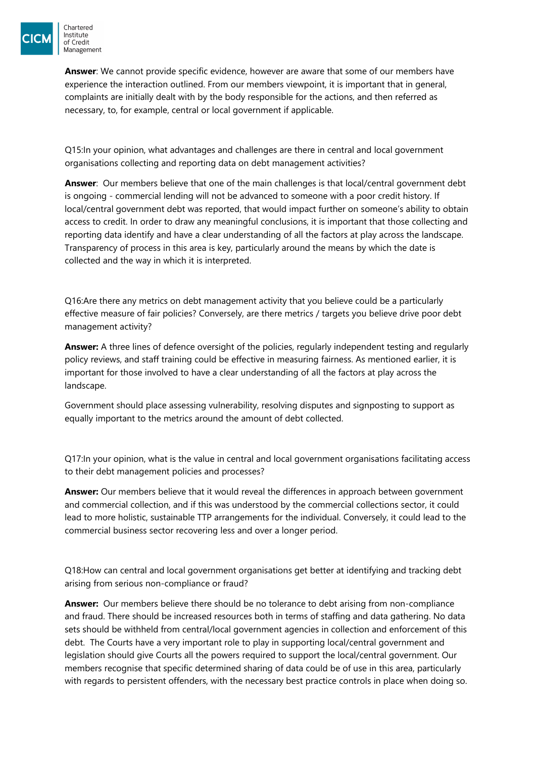

**Answer**: We cannot provide specific evidence, however are aware that some of our members have experience the interaction outlined. From our members viewpoint, it is important that in general, complaints are initially dealt with by the body responsible for the actions, and then referred as necessary, to, for example, central or local government if applicable.

Q15:In your opinion, what advantages and challenges are there in central and local government organisations collecting and reporting data on debt management activities?

**Answer**: Our members believe that one of the main challenges is that local/central government debt is ongoing - commercial lending will not be advanced to someone with a poor credit history. If local/central government debt was reported, that would impact further on someone's ability to obtain access to credit. In order to draw any meaningful conclusions, it is important that those collecting and reporting data identify and have a clear understanding of all the factors at play across the landscape. Transparency of process in this area is key, particularly around the means by which the date is collected and the way in which it is interpreted.

Q16:Are there any metrics on debt management activity that you believe could be a particularly effective measure of fair policies? Conversely, are there metrics / targets you believe drive poor debt management activity?

**Answer:** A three lines of defence oversight of the policies, regularly independent testing and regularly policy reviews, and staff training could be effective in measuring fairness. As mentioned earlier, it is important for those involved to have a clear understanding of all the factors at play across the landscape.

Government should place assessing vulnerability, resolving disputes and signposting to support as equally important to the metrics around the amount of debt collected.

Q17:In your opinion, what is the value in central and local government organisations facilitating access to their debt management policies and processes?

**Answer:** Our members believe that it would reveal the differences in approach between government and commercial collection, and if this was understood by the commercial collections sector, it could lead to more holistic, sustainable TTP arrangements for the individual. Conversely, it could lead to the commercial business sector recovering less and over a longer period.

Q18:How can central and local government organisations get better at identifying and tracking debt arising from serious non-compliance or fraud?

**Answer:** Our members believe there should be no tolerance to debt arising from non-compliance and fraud. There should be increased resources both in terms of staffing and data gathering. No data sets should be withheld from central/local government agencies in collection and enforcement of this debt. The Courts have a very important role to play in supporting local/central government and legislation should give Courts all the powers required to support the local/central government. Our members recognise that specific determined sharing of data could be of use in this area, particularly with regards to persistent offenders, with the necessary best practice controls in place when doing so.